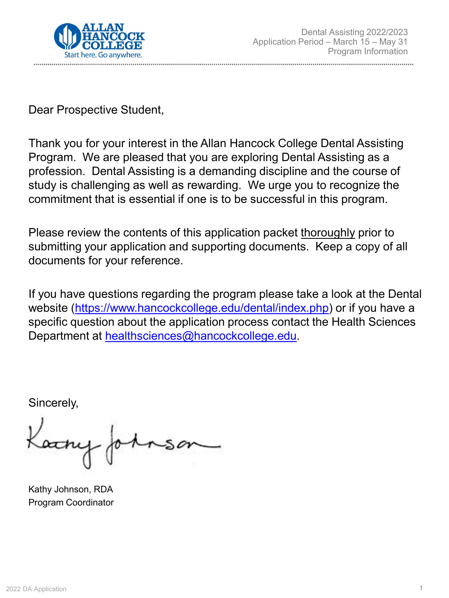

Dear Prospective Student,

Thank you for your interest in the Allan Hancock College Dental Assisting Program. We are pleased that you are exploring Dental Assisting as a profession. Dental Assisting is a demanding discipline and the course of study is challenging as well as rewarding. We urge you to recognize the commitment that is essential if one is to be successful in this program.

Please review the contents of this application packet thoroughly prior to submitting your application and supporting documents. Keep a copy of all documents for your reference.

If you have questions regarding the program please take a look at the Dental website [\(https://www.hancockcollege.edu/dental/index.php](https://www.hancockcollege.edu/dental/index.php)) or if you have a specific question about the application process contact the Health Sciences Department at [healthsciences@hancockcollege.edu.](mailto:healthsciences@hancockcollege.edu)

Sincerely,

Kathy Johnson, RDA Program Coordinator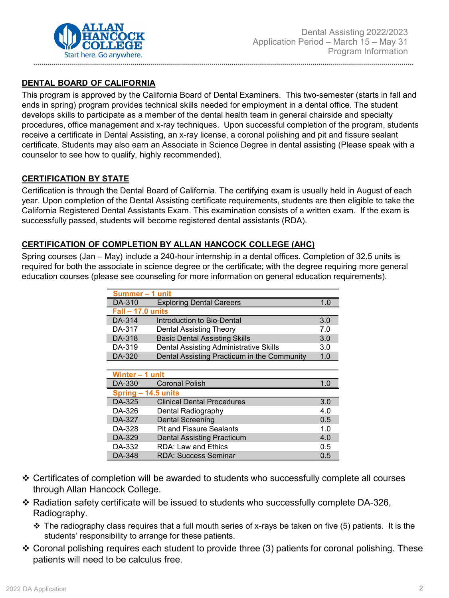

## **DENTAL BOARD OF CALIFORNIA**

This program is approved by the California Board of Dental Examiners. This two-semester (starts in fall and ends in spring) program provides technical skills needed for employment in a dental office. The student develops skills to participate as a member of the dental health team in general chairside and specialty procedures, office management and x-ray techniques. Upon successful completion of the program, students receive a certificate in Dental Assisting, an x-ray license, a coronal polishing and pit and fissure sealant certificate. Students may also earn an Associate in Science Degree in dental assisting (Please speak with a counselor to see how to qualify, highly recommended).

### **CERTIFICATION BY STATE**

Certification is through the Dental Board of California. The certifying exam is usually held in August of each year. Upon completion of the Dental Assisting certificate requirements, students are then eligible to take the California Registered Dental Assistants Exam. This examination consists of a written exam. If the exam is successfully passed, students will become registered dental assistants (RDA).

### **CERTIFICATION OF COMPLETION BY ALLAN HANCOCK COLLEGE (AHC)**

Spring courses (Jan – May) include a 240-hour internship in a dental offices. Completion of 32.5 units is required for both the associate in science degree or the certificate; with the degree requiring more general education courses (please see counseling for more information on general education requirements).

| Summer-1 unit       |                                             |     |  |
|---------------------|---------------------------------------------|-----|--|
| DA-310              | <b>Exploring Dental Careers</b>             |     |  |
| $Fall - 17.0 units$ |                                             |     |  |
| DA-314              | Introduction to Bio-Dental                  | 3.0 |  |
| DA-317              | Dental Assisting Theory                     | 7.0 |  |
| DA-318              | <b>Basic Dental Assisting Skills</b>        | 3.0 |  |
| DA-319              | Dental Assisting Administrative Skills      | 3.0 |  |
| DA-320              | Dental Assisting Practicum in the Community | 1.0 |  |

| Winter - 1 unit     |                                   |     |  |
|---------------------|-----------------------------------|-----|--|
| DA-330              | <b>Coronal Polish</b>             |     |  |
| Spring - 14.5 units |                                   |     |  |
| DA-325              | <b>Clinical Dental Procedures</b> | 3.0 |  |
| DA-326              | Dental Radiography                | 4.0 |  |
| DA-327              | <b>Dental Screening</b>           | 0.5 |  |
| DA-328              | <b>Pit and Fissure Sealants</b>   | 1.0 |  |
| DA-329              | <b>Dental Assisting Practicum</b> | 4.0 |  |
| DA-332              | <b>RDA: Law and Ethics</b>        | 0.5 |  |
| DA-348              | <b>RDA: Success Seminar</b>       | 0.5 |  |

- Certificates of completion will be awarded to students who successfully complete all courses through Allan Hancock College.
- $\div$  Radiation safety certificate will be issued to students who successfully complete DA-326, Radiography.
	- $\cdot$  The radiography class requires that a full mouth series of x-rays be taken on five (5) patients. It is the students' responsibility to arrange for these patients.
- ❖ Coronal polishing requires each student to provide three (3) patients for coronal polishing. These patients will need to be calculus free.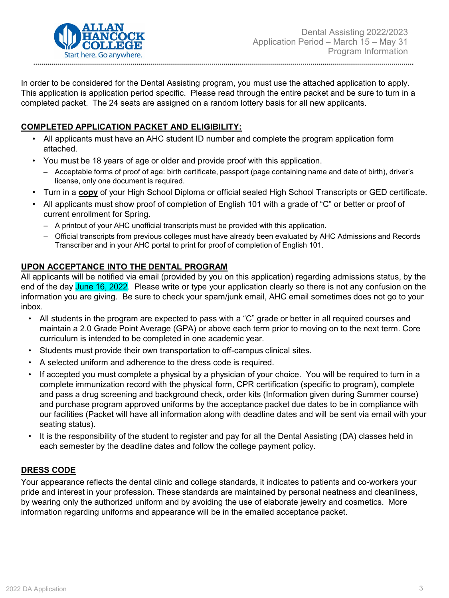

In order to be considered for the Dental Assisting program, you must use the attached application to apply. This application is application period specific. Please read through the entire packet and be sure to turn in a completed packet. The 24 seats are assigned on a random lottery basis for all new applicants.

## **COMPLETED APPLICATION PACKET AND ELIGIBILITY:**

- All applicants must have an AHC student ID number and complete the program application form attached.
- You must be 18 years of age or older and provide proof with this application.
	- ‒ Acceptable forms of proof of age: birth certificate, passport (page containing name and date of birth), driver's license, only one document is required.
- Turn in a **copy** of your High School Diploma or official sealed High School Transcripts or GED certificate.
- All applicants must show proof of completion of English 101 with a grade of "C" or better or proof of current enrollment for Spring.
	- A printout of your AHC unofficial transcripts must be provided with this application.
	- ‒ Official transcripts from previous colleges must have already been evaluated by AHC Admissions and Records Transcriber and in your AHC portal to print for proof of completion of English 101.

## **UPON ACCEPTANCE INTO THE DENTAL PROGRAM**

All applicants will be notified via email (provided by you on this application) regarding admissions status, by the end of the day June 16, 2022. Please write or type your application clearly so there is not any confusion on the information you are giving. Be sure to check your spam/junk email, AHC email sometimes does not go to your inbox.

- All students in the program are expected to pass with a "C" grade or better in all required courses and maintain a 2.0 Grade Point Average (GPA) or above each term prior to moving on to the next term. Core curriculum is intended to be completed in one academic year.
- Students must provide their own transportation to off-campus clinical sites.
- A selected uniform and adherence to the dress code is required.
- If accepted you must complete a physical by a physician of your choice. You will be required to turn in a complete immunization record with the physical form, CPR certification (specific to program), complete and pass a drug screening and background check, order kits (Information given during Summer course) and purchase program approved uniforms by the acceptance packet due dates to be in compliance with our facilities (Packet will have all information along with deadline dates and will be sent via email with your seating status).
- It is the responsibility of the student to register and pay for all the Dental Assisting (DA) classes held in each semester by the deadline dates and follow the college payment policy.

## **DRESS CODE**

Your appearance reflects the dental clinic and college standards, it indicates to patients and co-workers your pride and interest in your profession. These standards are maintained by personal neatness and cleanliness, by wearing only the authorized uniform and by avoiding the use of elaborate jewelry and cosmetics. More information regarding uniforms and appearance will be in the emailed acceptance packet.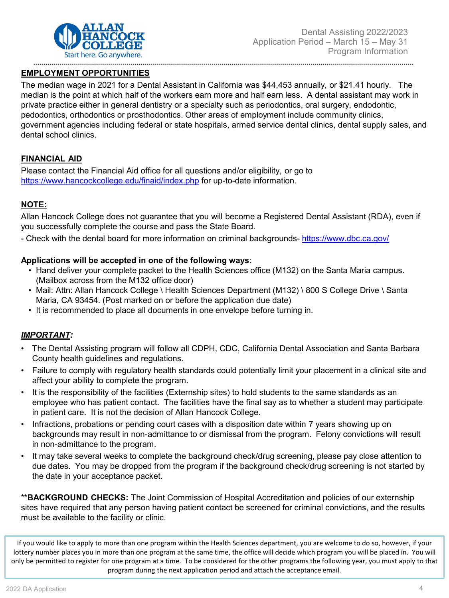

#### **EMPLOYMENT OPPORTUNITIES**

The median wage in 2021 for a Dental Assistant in California was \$44,453 annually, or \$21.41 hourly. The median is the point at which half of the workers earn more and half earn less. A dental assistant may work in private practice either in general dentistry or a specialty such as periodontics, oral surgery, endodontic, pedodontics, orthodontics or prosthodontics. Other areas of employment include community clinics, government agencies including federal or state hospitals, armed service dental clinics, dental supply sales, and dental school clinics.

### **FINANCIAL AID**

Please contact the Financial Aid office for all questions and/or eligibility, or go to <https://www.hancockcollege.edu/finaid/index.php> for up-to-date information.

## **NOTE:**

Allan Hancock College does not guarantee that you will become a Registered Dental Assistant (RDA), even if you successfully complete the course and pass the State Board.

- Check with the dental board for more information on criminal backgrounds- <https://www.dbc.ca.gov/>

#### **Applications will be accepted in one of the following ways**:

- Hand deliver your complete packet to the Health Sciences office (M132) on the Santa Maria campus. (Mailbox across from the M132 office door)
- Mail: Attn: Allan Hancock College \ Health Sciences Department (M132) \ 800 S College Drive \ Santa Maria, CA 93454. (Post marked on or before the application due date)
- It is recommended to place all documents in one envelope before turning in.

#### *IMPORTANT:*

- The Dental Assisting program will follow all CDPH, CDC, California Dental Association and Santa Barbara County health guidelines and regulations.
- Failure to comply with regulatory health standards could potentially limit your placement in a clinical site and affect your ability to complete the program.
- It is the responsibility of the facilities (Externship sites) to hold students to the same standards as an employee who has patient contact. The facilities have the final say as to whether a student may participate in patient care. It is not the decision of Allan Hancock College.
- Infractions, probations or pending court cases with a disposition date within 7 years showing up on backgrounds may result in non-admittance to or dismissal from the program. Felony convictions will result in non-admittance to the program.
- It may take several weeks to complete the background check/drug screening, please pay close attention to due dates. You may be dropped from the program if the background check/drug screening is not started by the date in your acceptance packet.

\*\***BACKGROUND CHECKS:** The Joint Commission of Hospital Accreditation and policies of our externship sites have required that any person having patient contact be screened for criminal convictions, and the results must be available to the facility or clinic.

If you would like to apply to more than one program within the Health Sciences department, you are welcome to do so, however, if your lottery number places you in more than one program at the same time, the office will decide which program you will be placed in. You will only be permitted to register for one program at a time. To be considered for the other programs the following year, you must apply to that program during the next application period and attach the acceptance email.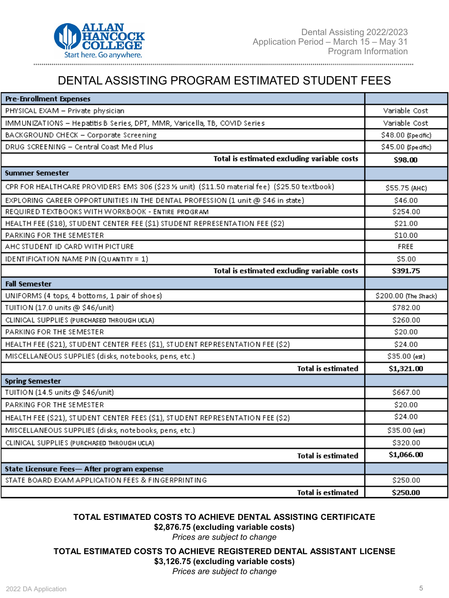

# DENTAL ASSISTING PROGRAM ESTIMATED STUDENT FEES

| <b>Pre-Enrollment Expenses</b>                                                                |                      |
|-----------------------------------------------------------------------------------------------|----------------------|
| PHYSICAL EXAM - Private physician                                                             | Variable Cost        |
| IMMUNIZATIONS - Hepatitis B Series, DPT, MMR, Varicella, TB, COVID Series                     | Variable Cost        |
| BACKGROUND CHECK - Corporate Screening                                                        | \$48.00 (Specific)   |
| DRUG SCREENING - Central Coast Med Plus                                                       | \$45.00 (Specific)   |
| Total is estimated excluding variable costs                                                   | \$98.00              |
| <b>Summer Semester</b>                                                                        |                      |
| CPR FOR HEALTH CARE PROVIDERS EMS 306 (\$23 % unit) (\$11.50 material fee) (\$25.50 textbook) | \$55.75 (AHC)        |
| EXPLORING CAREER OPPORTUNITIES IN THE DENTAL PROFESSION (1 unit @ \$46 in state)              | \$46.00              |
| REQUIRED TEXTBOOKS WITH WORKBOOK - ENTIRE PROGRAM                                             | \$254.00             |
| HEALTH FEE (\$18), STUDENT CENTER FEE (\$1) STUDENT REPRESENTATION FEE (\$2)                  | \$21.00              |
| PARKING FOR THE SEMESTER                                                                      | \$10.00              |
| AHC STUDENT ID CARD WITH PICTURE                                                              | FREE                 |
| <b>IDENTIFICATION NAME PIN (QUANTITY = 1)</b>                                                 | \$5.00               |
| Total is estimated excluding variable costs                                                   | \$391.75             |
| <b>Fall Semester</b>                                                                          |                      |
| UNIFORMS (4 tops, 4 bottoms, 1 pair of shoes)                                                 | \$200.00 (The Shack) |
| TUITION (17.0 units @ \$46/unit)                                                              | \$782.00             |
| CLINICAL SUPPLIES (PURCHASED THROUGH UCLA)                                                    | \$260.00             |
| PARKING FOR THE SEMESTER                                                                      | \$20.00              |
| HEALTH FEE (\$21), STUDENT CENTER FEES (\$1), STUDENT REPRESENTATION FEE (\$2)                | \$24.00              |
| MISCELLANEOUS SUPPLIES (disks, notebooks, pens, etc.)                                         | $$35.00$ (est)       |
| <b>Total is estimated</b>                                                                     | \$1,321.00           |
| <b>Spring Semester</b>                                                                        |                      |
| TUITION (14.5 units @ \$46/unit)                                                              | \$667.00             |
| PARKING FOR THE SEMESTER                                                                      | \$20.00              |
| HEALTH FEE (\$21), STUDENT CENTER FEES (\$1), STUDENT REPRESENTATION FEE (\$2)                | \$24.00              |
| MISCELLANEOUS SUPPLIES (disks, notebooks, pens, etc.)                                         | \$35.00 (est)        |
| CLINICAL SUPPLIES (PURCHASED THROUGH UCLA)                                                    | \$320.00             |
| <b>Total is estimated</b>                                                                     | \$1,066.00           |
| State Licensure Fees-After program expense                                                    |                      |
| STATE BOARD EXAM APPLICATION FEES & FINGERPRINTING                                            | \$250.00             |
| <b>Total is estimated</b>                                                                     | \$250.00             |

#### **TOTAL ESTIMATED COSTS TO ACHIEVE DENTAL ASSISTING CERTIFICATE**

**\$2,876.75 (excluding variable costs)**

*Prices are subject to change*

#### **TOTAL ESTIMATED COSTS TO ACHIEVE REGISTERED DENTAL ASSISTANT LICENSE \$3,126.75 (excluding variable costs)**

*Prices are subject to change*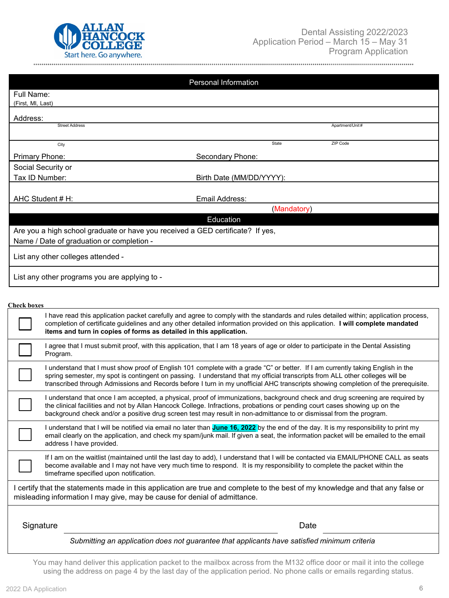

|                                                                                | Personal Information     |             |                 |
|--------------------------------------------------------------------------------|--------------------------|-------------|-----------------|
| Full Name:                                                                     |                          |             |                 |
| (First, MI, Last)                                                              |                          |             |                 |
| Address:                                                                       |                          |             |                 |
| <b>Street Address</b>                                                          |                          |             | Apartment/Unit# |
| City                                                                           |                          | State       | ZIP Code        |
| Primary Phone:                                                                 | Secondary Phone:         |             |                 |
| Social Security or                                                             |                          |             |                 |
| Tax ID Number:                                                                 | Birth Date (MM/DD/YYYY): |             |                 |
|                                                                                |                          |             |                 |
| AHC Student # H:                                                               | Email Address:           |             |                 |
|                                                                                |                          | (Mandatory) |                 |
|                                                                                | Education                |             |                 |
| Are you a high school graduate or have you received a GED certificate? If yes, |                          |             |                 |
| Name / Date of graduation or completion -                                      |                          |             |                 |
| List any other colleges attended -                                             |                          |             |                 |
| List any other programs you are applying to -                                  |                          |             |                 |
|                                                                                |                          |             |                 |

#### **Check boxes**

| I have read this application packet carefully and agree to comply with the standards and rules detailed within; application process,<br>completion of certificate guidelines and any other detailed information provided on this application. I will complete mandated<br>items and turn in copies of forms as detailed in this application.                                      |                                                                                                                                                                                                                                                                                                                                                                                                      |  |  |
|-----------------------------------------------------------------------------------------------------------------------------------------------------------------------------------------------------------------------------------------------------------------------------------------------------------------------------------------------------------------------------------|------------------------------------------------------------------------------------------------------------------------------------------------------------------------------------------------------------------------------------------------------------------------------------------------------------------------------------------------------------------------------------------------------|--|--|
| Program.                                                                                                                                                                                                                                                                                                                                                                          | I agree that I must submit proof, with this application, that I am 18 years of age or older to participate in the Dental Assisting                                                                                                                                                                                                                                                                   |  |  |
|                                                                                                                                                                                                                                                                                                                                                                                   | I understand that I must show proof of English 101 complete with a grade "C" or better. If I am currently taking English in the<br>spring semester, my spot is contingent on passing. I understand that my official transcripts from ALL other colleges will be<br>transcribed through Admissions and Records before I turn in my unofficial AHC transcripts showing completion of the prerequisite. |  |  |
| I understand that once I am accepted, a physical, proof of immunizations, background check and drug screening are required by<br>the clinical facilities and not by Allan Hancock College. Infractions, probations or pending court cases showing up on the<br>background check and/or a positive drug screen test may result in non-admittance to or dismissal from the program. |                                                                                                                                                                                                                                                                                                                                                                                                      |  |  |
| I understand that I will be notified via email no later than <b>June 16, 2022</b> by the end of the day. It is my responsibility to print my<br>email clearly on the application, and check my spam/junk mail. If given a seat, the information packet will be emailed to the email<br>address I have provided.                                                                   |                                                                                                                                                                                                                                                                                                                                                                                                      |  |  |
| If I am on the waitlist (maintained until the last day to add), I understand that I will be contacted via EMAIL/PHONE CALL as seats<br>become available and I may not have very much time to respond. It is my responsibility to complete the packet within the<br>timeframe specified upon notification.                                                                         |                                                                                                                                                                                                                                                                                                                                                                                                      |  |  |
|                                                                                                                                                                                                                                                                                                                                                                                   | I certify that the statements made in this application are true and complete to the best of my knowledge and that any false or<br>misleading information I may give, may be cause for denial of admittance.                                                                                                                                                                                          |  |  |
| Signature                                                                                                                                                                                                                                                                                                                                                                         | Date                                                                                                                                                                                                                                                                                                                                                                                                 |  |  |
|                                                                                                                                                                                                                                                                                                                                                                                   | Submitting an application does not guarantee that applicants have satisfied minimum criteria                                                                                                                                                                                                                                                                                                         |  |  |

You may hand deliver this application packet to the mailbox across from the M132 office door or mail it into the college using the address on page 4 by the last day of the application period. No phone calls or emails regarding status.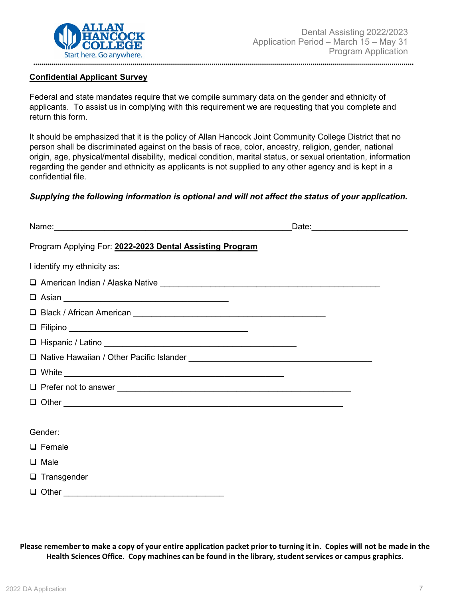

#### **Confidential Applicant Survey**

Federal and state mandates require that we compile summary data on the gender and ethnicity of applicants. To assist us in complying with this requirement we are requesting that you complete and return this form.

It should be emphasized that it is the policy of Allan Hancock Joint Community College District that no person shall be discriminated against on the basis of race, color, ancestry, religion, gender, national origin, age, physical/mental disability, medical condition, marital status, or sexual orientation, information regarding the gender and ethnicity as applicants is not supplied to any other agency and is kept in a confidential file.

#### *Supplying the following information is optional and will not affect the status of your application.*

|                                                          | Date: 2008 |
|----------------------------------------------------------|------------|
| Program Applying For: 2022-2023 Dental Assisting Program |            |
| I identify my ethnicity as:                              |            |
|                                                          |            |
|                                                          |            |
|                                                          |            |
|                                                          |            |
|                                                          |            |
|                                                          |            |
|                                                          |            |
|                                                          |            |
|                                                          |            |
|                                                          |            |
| Gender:                                                  |            |
| $\Box$ Female                                            |            |
| $\Box$ Male                                              |            |
| $\Box$ Transgender                                       |            |
|                                                          |            |

**Please remember to make a copy of your entire application packet prior to turning it in. Copies will not be made in the Health Sciences Office. Copy machines can be found in the library, student services or campus graphics.**